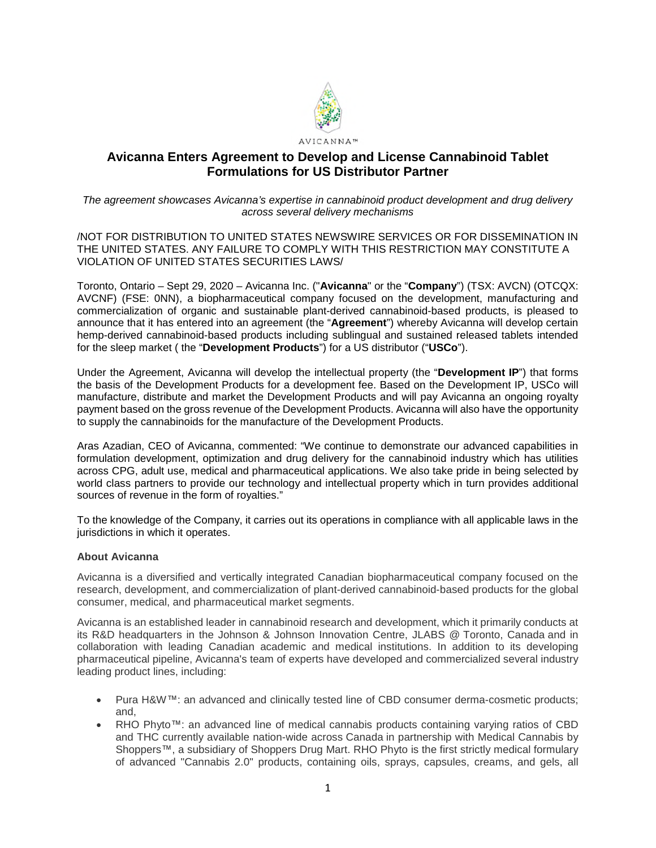

# **Avicanna Enters Agreement to Develop and License Cannabinoid Tablet Formulations for US Distributor Partner**

## *The agreement showcases Avicanna's expertise in cannabinoid product development and drug delivery across several delivery mechanisms*

/NOT FOR DISTRIBUTION TO UNITED STATES NEWSWIRE SERVICES OR FOR DISSEMINATION IN THE UNITED STATES. ANY FAILURE TO COMPLY WITH THIS RESTRICTION MAY CONSTITUTE A VIOLATION OF UNITED STATES SECURITIES LAWS/

Toronto, Ontario – Sept 29, 2020 – Avicanna Inc. ("**Avicanna**" or the "**Company**") (TSX: AVCN) (OTCQX: AVCNF) (FSE: 0NN), a biopharmaceutical company focused on the development, manufacturing and commercialization of organic and sustainable plant-derived cannabinoid-based products, is pleased to announce that it has entered into an agreement (the "**Agreement**") whereby Avicanna will develop certain hemp-derived cannabinoid-based products including sublingual and sustained released tablets intended for the sleep market ( the "**Development Products**") for a US distributor ("**USCo**").

Under the Agreement, Avicanna will develop the intellectual property (the "**Development IP**") that forms the basis of the Development Products for a development fee. Based on the Development IP, USCo will manufacture, distribute and market the Development Products and will pay Avicanna an ongoing royalty payment based on the gross revenue of the Development Products. Avicanna will also have the opportunity to supply the cannabinoids for the manufacture of the Development Products.

Aras Azadian, CEO of Avicanna, commented: "We continue to demonstrate our advanced capabilities in formulation development, optimization and drug delivery for the cannabinoid industry which has utilities across CPG, adult use, medical and pharmaceutical applications. We also take pride in being selected by world class partners to provide our technology and intellectual property which in turn provides additional sources of revenue in the form of royalties."

To the knowledge of the Company, it carries out its operations in compliance with all applicable laws in the jurisdictions in which it operates.

### **About Avicanna**

Avicanna is a diversified and vertically integrated Canadian biopharmaceutical company focused on the research, development, and commercialization of plant-derived cannabinoid-based products for the global consumer, medical, and pharmaceutical market segments.

Avicanna is an established leader in cannabinoid research and development, which it primarily conducts at its R&D headquarters in the Johnson & Johnson Innovation Centre, JLABS @ Toronto, Canada and in collaboration with leading Canadian academic and medical institutions. In addition to its developing pharmaceutical pipeline, Avicanna's team of experts have developed and commercialized several industry leading product lines, including:

- Pura H&W™: an advanced and clinically tested line of CBD consumer derma-cosmetic products; and,
- RHO Phyto<sup>™</sup>: an advanced line of medical cannabis products containing varying ratios of CBD and THC currently available nation-wide across Canada in partnership with Medical Cannabis by Shoppers™, a subsidiary of Shoppers Drug Mart. RHO Phyto is the first strictly medical formulary of advanced "Cannabis 2.0" products, containing oils, sprays, capsules, creams, and gels, all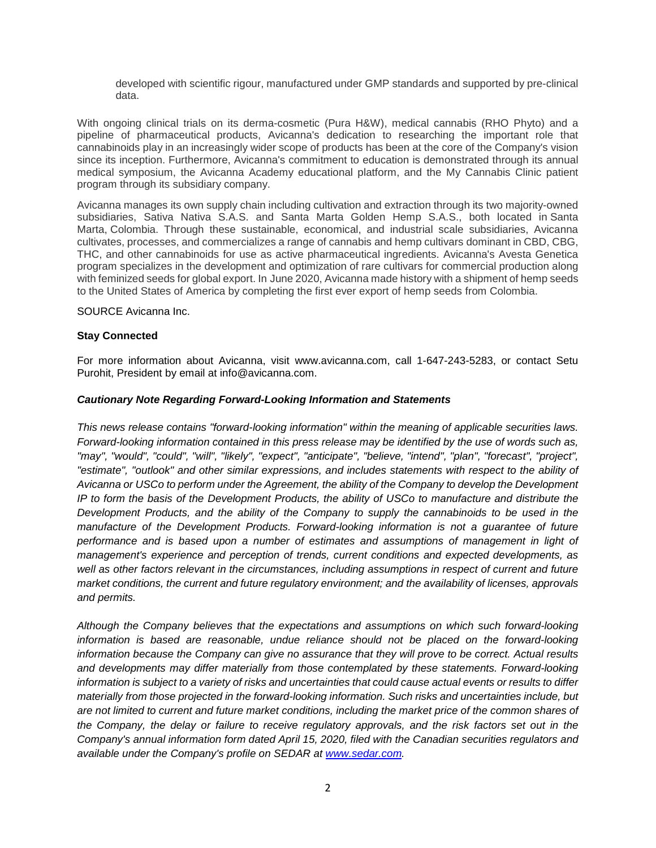developed with scientific rigour, manufactured under GMP standards and supported by pre-clinical data.

With ongoing clinical trials on its derma-cosmetic (Pura H&W), medical cannabis (RHO Phyto) and a pipeline of pharmaceutical products, Avicanna's dedication to researching the important role that cannabinoids play in an increasingly wider scope of products has been at the core of the Company's vision since its inception. Furthermore, Avicanna's commitment to education is demonstrated through its annual medical symposium, the Avicanna Academy educational platform, and the My Cannabis Clinic patient program through its subsidiary company.

Avicanna manages its own supply chain including cultivation and extraction through its two majority-owned subsidiaries, Sativa Nativa S.A.S. and Santa Marta Golden Hemp S.A.S., both located in Santa Marta, Colombia. Through these sustainable, economical, and industrial scale subsidiaries, Avicanna cultivates, processes, and commercializes a range of cannabis and hemp cultivars dominant in CBD, CBG, THC, and other cannabinoids for use as active pharmaceutical ingredients. Avicanna's Avesta Genetica program specializes in the development and optimization of rare cultivars for commercial production along with feminized seeds for global export. In June 2020, Avicanna made history with a shipment of hemp seeds to the United States of America by completing the first ever export of hemp seeds from Colombia.

SOURCE Avicanna Inc.

### **Stay Connected**

For more information about Avicanna, visit www.avicanna.com, call 1-647-243-5283, or contact Setu Purohit, President by email at info@avicanna.com.

### *Cautionary Note Regarding Forward-Looking Information and Statements*

*This news release contains "forward-looking information" within the meaning of applicable securities laws. Forward-looking information contained in this press release may be identified by the use of words such as, "may", "would", "could", "will", "likely", "expect", "anticipate", "believe, "intend", "plan", "forecast", "project", "estimate", "outlook" and other similar expressions, and includes statements with respect to the ability of Avicanna or USCo to perform under the Agreement, the ability of the Company to develop the Development IP to form the basis of the Development Products, the ability of USCo to manufacture and distribute the Development Products, and the ability of the Company to supply the cannabinoids to be used in the manufacture of the Development Products. Forward-looking information is not a guarantee of future performance and is based upon a number of estimates and assumptions of management in light of management's experience and perception of trends, current conditions and expected developments, as well as other factors relevant in the circumstances, including assumptions in respect of current and future market conditions, the current and future regulatory environment; and the availability of licenses, approvals and permits.* 

*Although the Company believes that the expectations and assumptions on which such forward-looking*  information is based are reasonable, undue reliance should not be placed on the forward-looking *information because the Company can give no assurance that they will prove to be correct. Actual results and developments may differ materially from those contemplated by these statements. Forward-looking information is subject to a variety of risks and uncertainties that could cause actual events or results to differ materially from those projected in the forward-looking information. Such risks and uncertainties include, but are not limited to current and future market conditions, including the market price of the common shares of the Company, the delay or failure to receive regulatory approvals, and the risk factors set out in the Company's annual information form dated April 15, 2020, filed with the Canadian securities regulators and available under the Company's profile on SEDAR at [www.sedar.com](http://www.sedar.com/).*